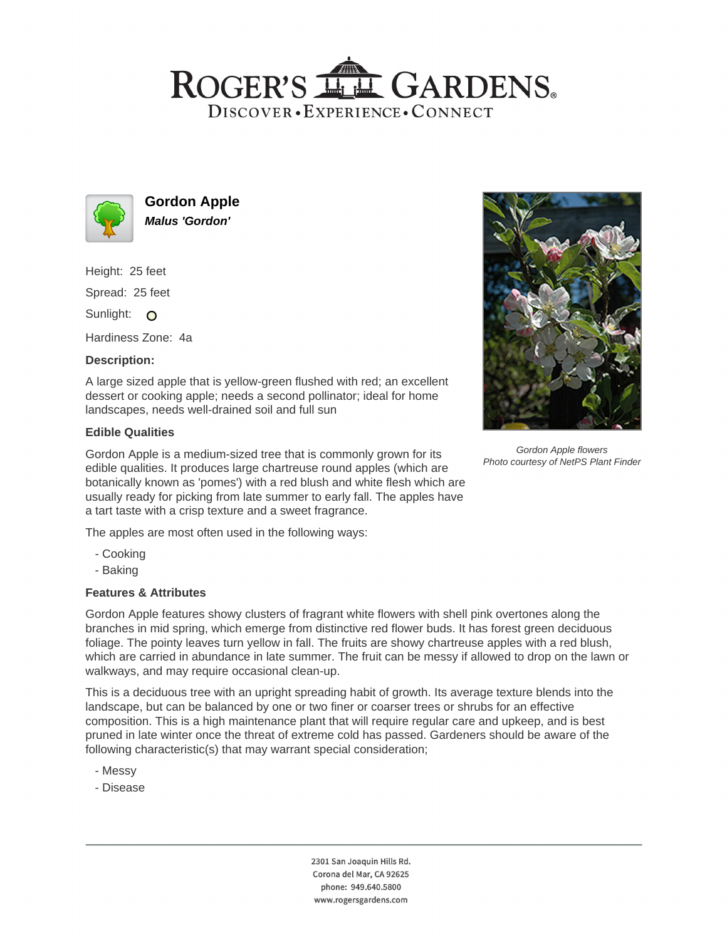## ROGER'S LL GARDENS. DISCOVER · EXPERIENCE · CONNECT



**Gordon Apple Malus 'Gordon'**

Height: 25 feet

Spread: 25 feet

Sunlight: O

Hardiness Zone: 4a

### **Description:**

A large sized apple that is yellow-green flushed with red; an excellent dessert or cooking apple; needs a second pollinator; ideal for home landscapes, needs well-drained soil and full sun

#### **Edible Qualities**

Gordon Apple is a medium-sized tree that is commonly grown for its edible qualities. It produces large chartreuse round apples (which are botanically known as 'pomes') with a red blush and white flesh which are usually ready for picking from late summer to early fall. The apples have a tart taste with a crisp texture and a sweet fragrance.

The apples are most often used in the following ways:

- Cooking
- Baking

## **Features & Attributes**

Gordon Apple features showy clusters of fragrant white flowers with shell pink overtones along the branches in mid spring, which emerge from distinctive red flower buds. It has forest green deciduous foliage. The pointy leaves turn yellow in fall. The fruits are showy chartreuse apples with a red blush, which are carried in abundance in late summer. The fruit can be messy if allowed to drop on the lawn or walkways, and may require occasional clean-up.

This is a deciduous tree with an upright spreading habit of growth. Its average texture blends into the landscape, but can be balanced by one or two finer or coarser trees or shrubs for an effective composition. This is a high maintenance plant that will require regular care and upkeep, and is best pruned in late winter once the threat of extreme cold has passed. Gardeners should be aware of the following characteristic(s) that may warrant special consideration;

- Messy
- Disease





Gordon Apple flowers Photo courtesy of NetPS Plant Finder

2301 San Joaquin Hills Rd. Corona del Mar, CA 92625 phone: 949.640.5800 www.rogersgardens.com